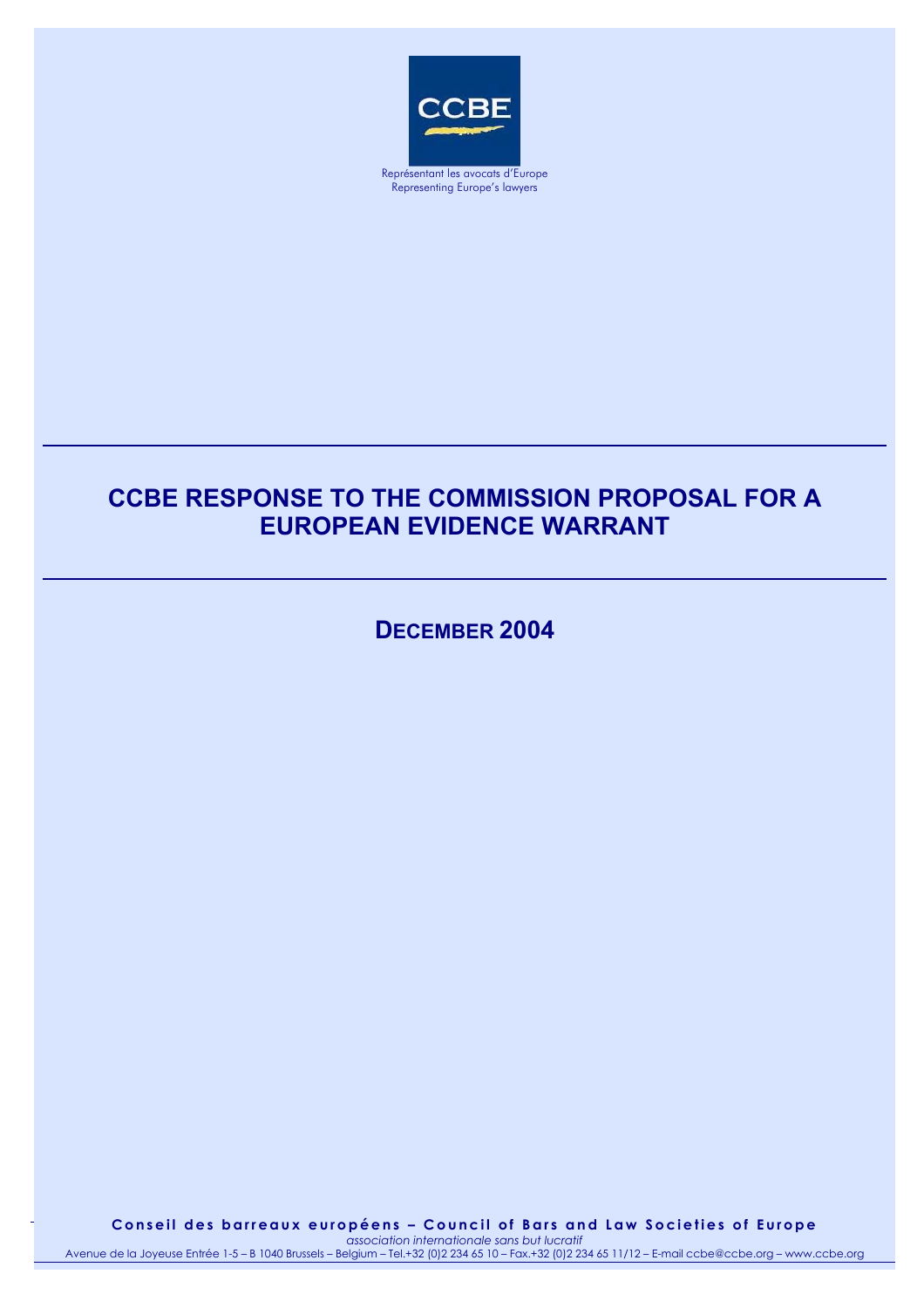

Représentant les avocats d'Europe Representing Europe's lawyers

# **CCBE RESPONSE TO THE COMMISSION PROPOSAL FOR A EUROPEAN EVIDENCE WARRANT**

**DECEMBER 2004**

 $A_{\rm{2}}$  – Belgium – Tel.+32 (0)2  $234$  65 10 – Fax.+32 (0)2 234 65 11/12 –  $\pm$ Conseil des barreaux européens – Council of Bars and Law Societies of Europe 1 *association internationale sans but lucratif*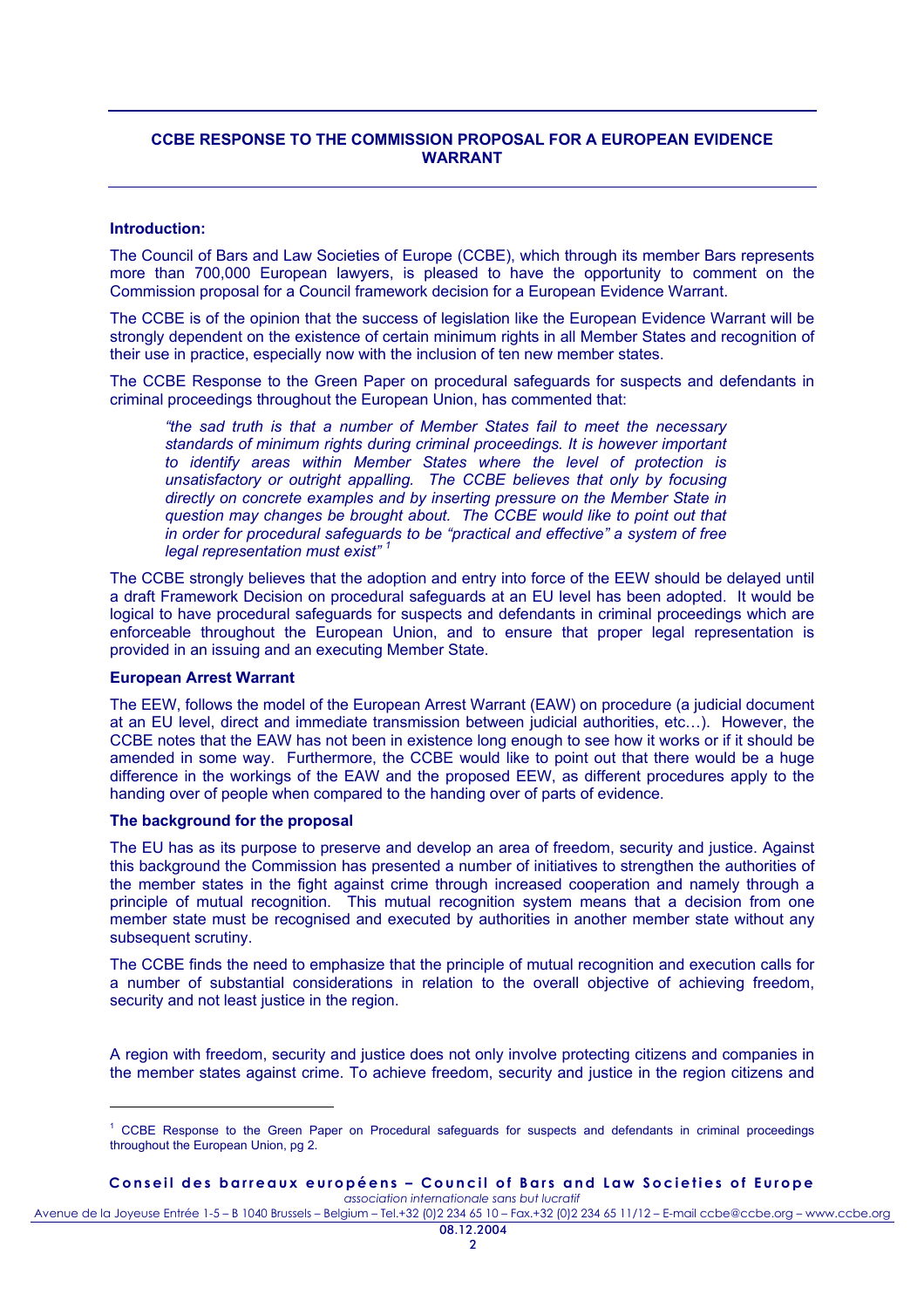# **CCBE RESPONSE TO THE COMMISSION PROPOSAL FOR A EUROPEAN EVIDENCE WARRANT**

## **Introduction:**

The Council of Bars and Law Societies of Europe (CCBE), which through its member Bars represents more than 700,000 European lawyers, is pleased to have the opportunity to comment on the Commission proposal for a Council framework decision for a European Evidence Warrant.

The CCBE is of the opinion that the success of legislation like the European Evidence Warrant will be strongly dependent on the existence of certain minimum rights in all Member States and recognition of their use in practice, especially now with the inclusion of ten new member states.

The CCBE Response to the Green Paper on procedural safeguards for suspects and defendants in criminal proceedings throughout the European Union, has commented that:

*"the sad truth is that a number of Member States fail to meet the necessary standards of minimum rights during criminal proceedings. It is however important to identify areas within Member States where the level of protection is unsatisfactory or outright appalling. The CCBE believes that only by focusing directly on concrete examples and by inserting pressure on the Member State in question may changes be brought about. The CCBE would like to point out that in order for procedural safeguards to be "practical and effective" a system of free legal representation must exist" <sup>1</sup>*

The CCBE strongly believes that the adoption and entry into force of the EEW should be delayed until a draft Framework Decision on procedural safeguards at an EU level has been adopted. It would be logical to have procedural safeguards for suspects and defendants in criminal proceedings which are enforceable throughout the European Union, and to ensure that proper legal representation is provided in an issuing and an executing Member State.

#### **European Arrest Warrant**

l

The EEW, follows the model of the European Arrest Warrant (EAW) on procedure (a judicial document at an EU level, direct and immediate transmission between judicial authorities, etc…). However, the CCBE notes that the EAW has not been in existence long enough to see how it works or if it should be amended in some way. Furthermore, the CCBE would like to point out that there would be a huge difference in the workings of the EAW and the proposed EEW, as different procedures apply to the handing over of people when compared to the handing over of parts of evidence.

#### **The background for the proposal**

The EU has as its purpose to preserve and develop an area of freedom, security and justice. Against this background the Commission has presented a number of initiatives to strengthen the authorities of the member states in the fight against crime through increased cooperation and namely through a principle of mutual recognition. This mutual recognition system means that a decision from one member state must be recognised and executed by authorities in another member state without any subsequent scrutiny.

The CCBE finds the need to emphasize that the principle of mutual recognition and execution calls for a number of substantial considerations in relation to the overall objective of achieving freedom, security and not least justice in the region.

A region with freedom, security and justice does not only involve protecting citizens and companies in the member states against crime. To achieve freedom, security and justice in the region citizens and

#### **Conseil des barreaux européens – Council of Bars and Law Societies of Europe**  *association internationale sans but lucratif*

<sup>&</sup>lt;sup>1</sup> CCBE Response to the Green Paper on Procedural safeguards for suspects and defendants in criminal proceedings throughout the European Union, pg 2.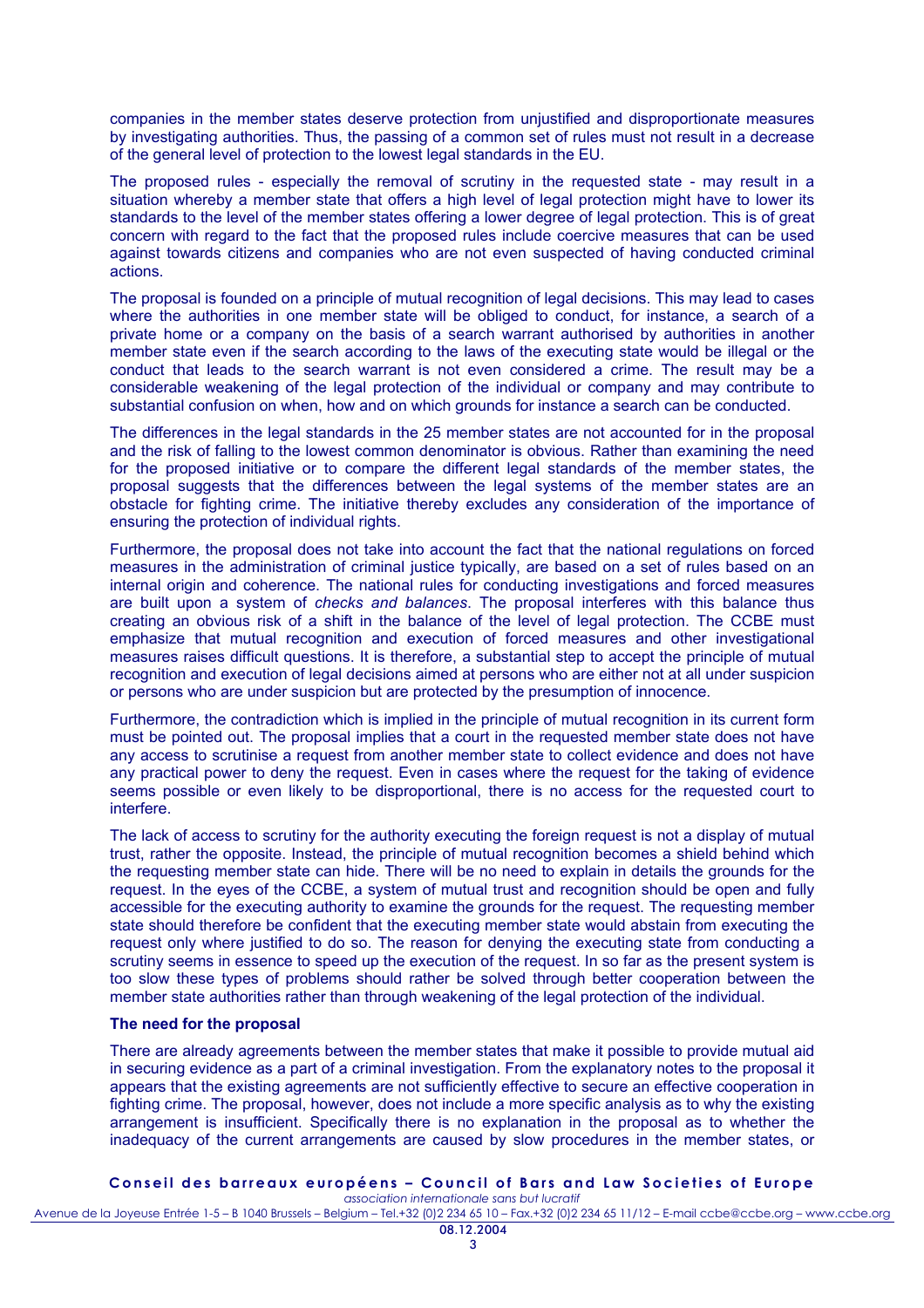companies in the member states deserve protection from unjustified and disproportionate measures by investigating authorities. Thus, the passing of a common set of rules must not result in a decrease of the general level of protection to the lowest legal standards in the EU.

The proposed rules - especially the removal of scrutiny in the requested state - may result in a situation whereby a member state that offers a high level of legal protection might have to lower its standards to the level of the member states offering a lower degree of legal protection. This is of great concern with regard to the fact that the proposed rules include coercive measures that can be used against towards citizens and companies who are not even suspected of having conducted criminal actions.

The proposal is founded on a principle of mutual recognition of legal decisions. This may lead to cases where the authorities in one member state will be obliged to conduct, for instance, a search of a private home or a company on the basis of a search warrant authorised by authorities in another member state even if the search according to the laws of the executing state would be illegal or the conduct that leads to the search warrant is not even considered a crime. The result may be a considerable weakening of the legal protection of the individual or company and may contribute to substantial confusion on when, how and on which grounds for instance a search can be conducted.

The differences in the legal standards in the 25 member states are not accounted for in the proposal and the risk of falling to the lowest common denominator is obvious. Rather than examining the need for the proposed initiative or to compare the different legal standards of the member states, the proposal suggests that the differences between the legal systems of the member states are an obstacle for fighting crime. The initiative thereby excludes any consideration of the importance of ensuring the protection of individual rights.

Furthermore, the proposal does not take into account the fact that the national regulations on forced measures in the administration of criminal justice typically, are based on a set of rules based on an internal origin and coherence. The national rules for conducting investigations and forced measures are built upon a system of *checks and balances*. The proposal interferes with this balance thus creating an obvious risk of a shift in the balance of the level of legal protection. The CCBE must emphasize that mutual recognition and execution of forced measures and other investigational measures raises difficult questions. It is therefore, a substantial step to accept the principle of mutual recognition and execution of legal decisions aimed at persons who are either not at all under suspicion or persons who are under suspicion but are protected by the presumption of innocence.

Furthermore, the contradiction which is implied in the principle of mutual recognition in its current form must be pointed out. The proposal implies that a court in the requested member state does not have any access to scrutinise a request from another member state to collect evidence and does not have any practical power to deny the request. Even in cases where the request for the taking of evidence seems possible or even likely to be disproportional, there is no access for the requested court to interfere.

The lack of access to scrutiny for the authority executing the foreign request is not a display of mutual trust, rather the opposite. Instead, the principle of mutual recognition becomes a shield behind which the requesting member state can hide. There will be no need to explain in details the grounds for the request. In the eyes of the CCBE, a system of mutual trust and recognition should be open and fully accessible for the executing authority to examine the grounds for the request. The requesting member state should therefore be confident that the executing member state would abstain from executing the request only where justified to do so. The reason for denying the executing state from conducting a scrutiny seems in essence to speed up the execution of the request. In so far as the present system is too slow these types of problems should rather be solved through better cooperation between the member state authorities rather than through weakening of the legal protection of the individual.

## **The need for the proposal**

There are already agreements between the member states that make it possible to provide mutual aid in securing evidence as a part of a criminal investigation. From the explanatory notes to the proposal it appears that the existing agreements are not sufficiently effective to secure an effective cooperation in fighting crime. The proposal, however, does not include a more specific analysis as to why the existing arrangement is insufficient. Specifically there is no explanation in the proposal as to whether the inadequacy of the current arrangements are caused by slow procedures in the member states, or

## **Conseil des barreaux européens – Council of Bars and Law Societies of Europe**

*association internationale sans but lucratif* Avenue de la Joyeuse Entrée 1-5 – B 1040 Brussels – Belgium – Tel.+32 (0)2 234 65 10 – Fax.+32 (0)2 234 65 11/12 – E-mail ccbe@ccbe.org – www.ccbe.org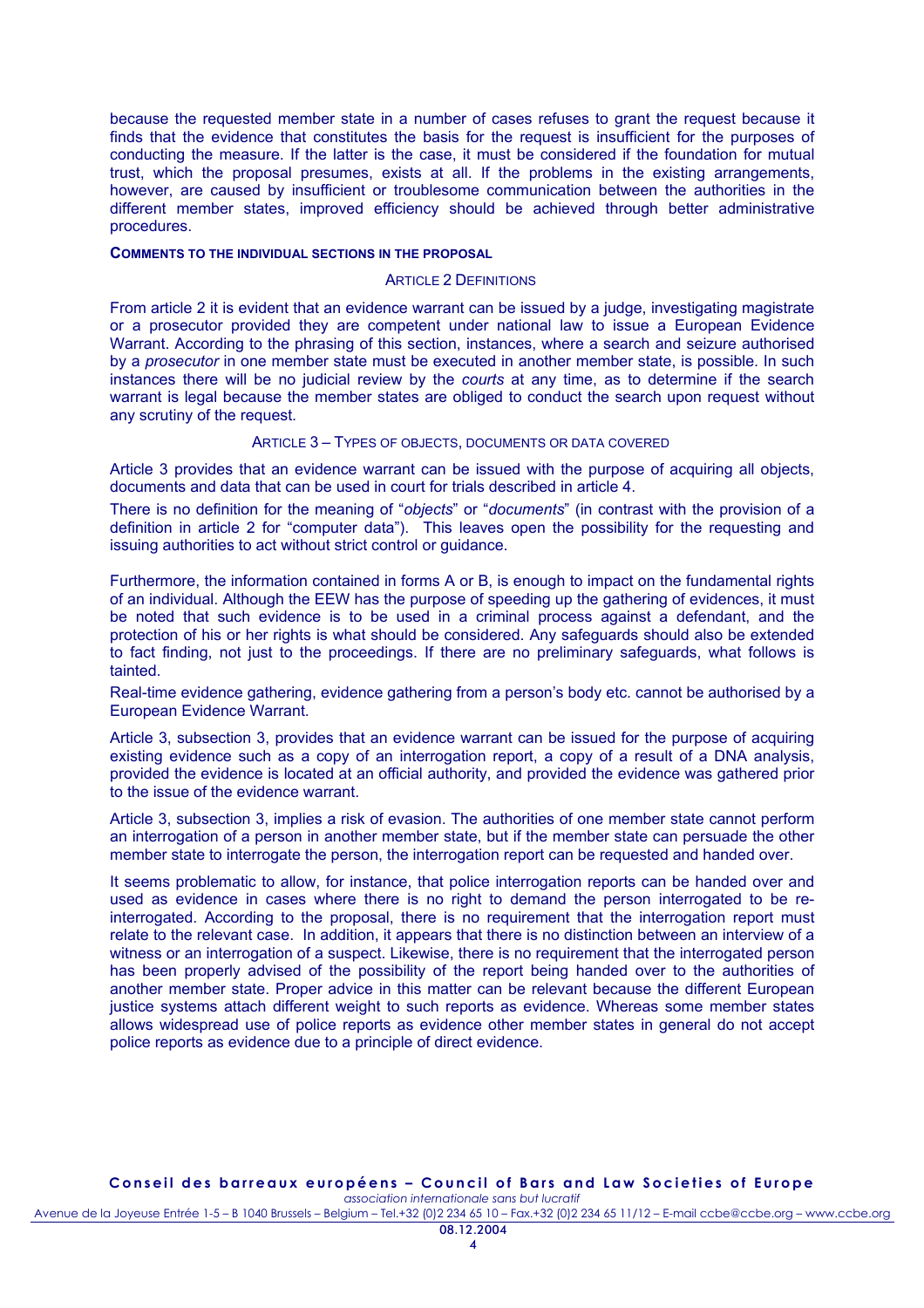because the requested member state in a number of cases refuses to grant the request because it finds that the evidence that constitutes the basis for the request is insufficient for the purposes of conducting the measure. If the latter is the case, it must be considered if the foundation for mutual trust, which the proposal presumes, exists at all. If the problems in the existing arrangements, however, are caused by insufficient or troublesome communication between the authorities in the different member states, improved efficiency should be achieved through better administrative procedures.

#### **COMMENTS TO THE INDIVIDUAL SECTIONS IN THE PROPOSAL**

#### ARTICLE 2 DEFINITIONS

From article 2 it is evident that an evidence warrant can be issued by a judge, investigating magistrate or a prosecutor provided they are competent under national law to issue a European Evidence Warrant. According to the phrasing of this section, instances, where a search and seizure authorised by a *prosecutor* in one member state must be executed in another member state, is possible. In such instances there will be no judicial review by the *courts* at any time, as to determine if the search warrant is legal because the member states are obliged to conduct the search upon request without any scrutiny of the request.

## ARTICLE 3 – TYPES OF OBJECTS, DOCUMENTS OR DATA COVERED

Article 3 provides that an evidence warrant can be issued with the purpose of acquiring all objects, documents and data that can be used in court for trials described in article 4.

There is no definition for the meaning of "*objects*" or "*documents*" (in contrast with the provision of a definition in article 2 for "computer data"). This leaves open the possibility for the requesting and issuing authorities to act without strict control or guidance.

Furthermore, the information contained in forms A or B, is enough to impact on the fundamental rights of an individual. Although the EEW has the purpose of speeding up the gathering of evidences, it must be noted that such evidence is to be used in a criminal process against a defendant, and the protection of his or her rights is what should be considered. Any safeguards should also be extended to fact finding, not just to the proceedings. If there are no preliminary safeguards, what follows is tainted.

Real-time evidence gathering, evidence gathering from a person's body etc. cannot be authorised by a European Evidence Warrant.

Article 3, subsection 3, provides that an evidence warrant can be issued for the purpose of acquiring existing evidence such as a copy of an interrogation report, a copy of a result of a DNA analysis, provided the evidence is located at an official authority, and provided the evidence was gathered prior to the issue of the evidence warrant.

Article 3, subsection 3, implies a risk of evasion. The authorities of one member state cannot perform an interrogation of a person in another member state, but if the member state can persuade the other member state to interrogate the person, the interrogation report can be requested and handed over.

It seems problematic to allow, for instance, that police interrogation reports can be handed over and used as evidence in cases where there is no right to demand the person interrogated to be reinterrogated. According to the proposal, there is no requirement that the interrogation report must relate to the relevant case. In addition, it appears that there is no distinction between an interview of a witness or an interrogation of a suspect. Likewise, there is no requirement that the interrogated person has been properly advised of the possibility of the report being handed over to the authorities of another member state. Proper advice in this matter can be relevant because the different European justice systems attach different weight to such reports as evidence. Whereas some member states allows widespread use of police reports as evidence other member states in general do not accept police reports as evidence due to a principle of direct evidence.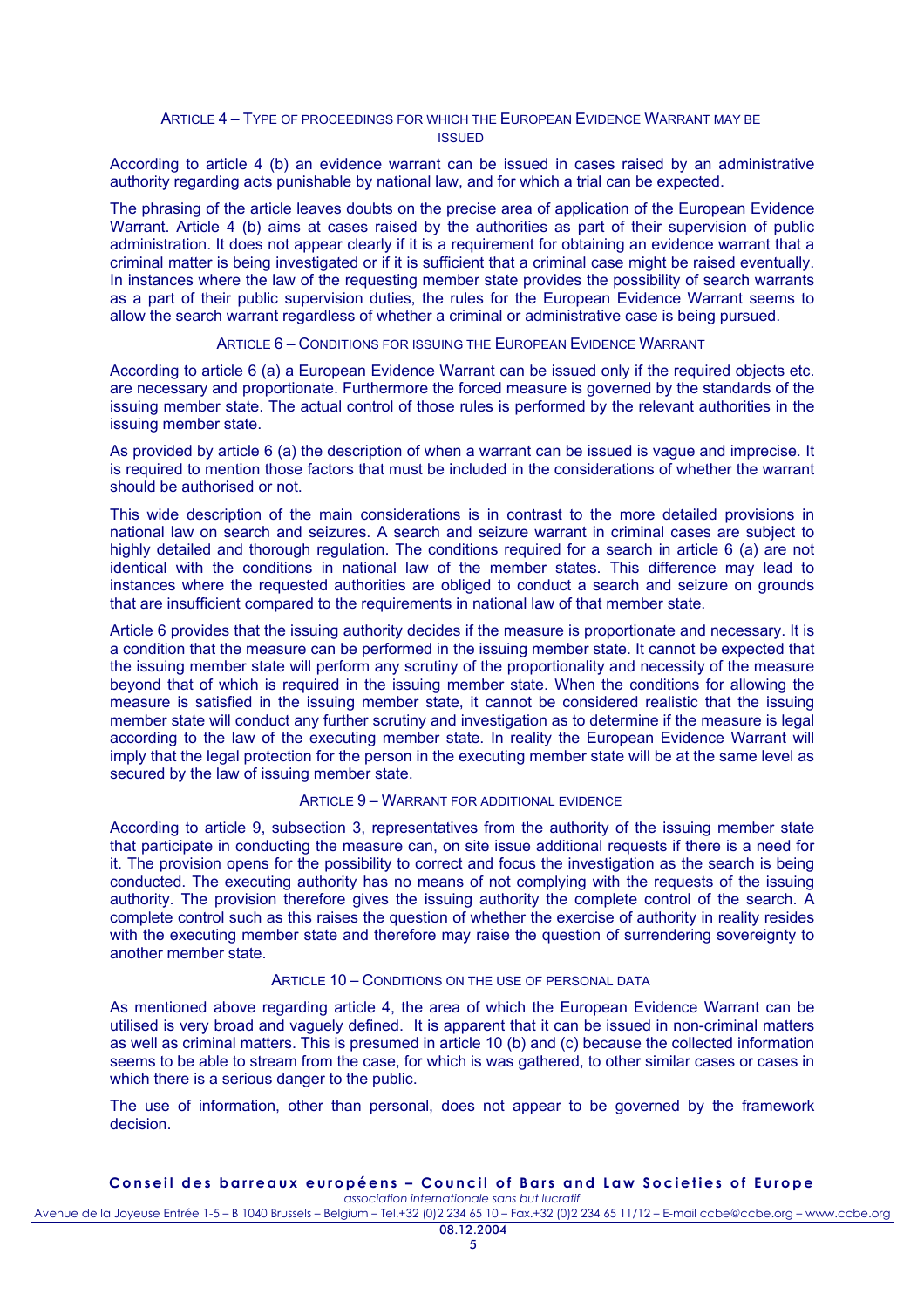## ARTICLE 4 – TYPE OF PROCEEDINGS FOR WHICH THE EUROPEAN EVIDENCE WARRANT MAY BE ISSUED

According to article 4 (b) an evidence warrant can be issued in cases raised by an administrative authority regarding acts punishable by national law, and for which a trial can be expected.

The phrasing of the article leaves doubts on the precise area of application of the European Evidence Warrant. Article 4 (b) aims at cases raised by the authorities as part of their supervision of public administration. It does not appear clearly if it is a requirement for obtaining an evidence warrant that a criminal matter is being investigated or if it is sufficient that a criminal case might be raised eventually. In instances where the law of the requesting member state provides the possibility of search warrants as a part of their public supervision duties, the rules for the European Evidence Warrant seems to allow the search warrant regardless of whether a criminal or administrative case is being pursued.

## ARTICLE 6 – CONDITIONS FOR ISSUING THE EUROPEAN EVIDENCE WARRANT

According to article 6 (a) a European Evidence Warrant can be issued only if the required objects etc. are necessary and proportionate. Furthermore the forced measure is governed by the standards of the issuing member state. The actual control of those rules is performed by the relevant authorities in the issuing member state.

As provided by article 6 (a) the description of when a warrant can be issued is vague and imprecise. It is required to mention those factors that must be included in the considerations of whether the warrant should be authorised or not.

This wide description of the main considerations is in contrast to the more detailed provisions in national law on search and seizures. A search and seizure warrant in criminal cases are subject to highly detailed and thorough regulation. The conditions reguired for a search in article 6 (a) are not identical with the conditions in national law of the member states. This difference may lead to instances where the requested authorities are obliged to conduct a search and seizure on grounds that are insufficient compared to the requirements in national law of that member state.

Article 6 provides that the issuing authority decides if the measure is proportionate and necessary. It is a condition that the measure can be performed in the issuing member state. It cannot be expected that the issuing member state will perform any scrutiny of the proportionality and necessity of the measure beyond that of which is required in the issuing member state. When the conditions for allowing the measure is satisfied in the issuing member state, it cannot be considered realistic that the issuing member state will conduct any further scrutiny and investigation as to determine if the measure is legal according to the law of the executing member state. In reality the European Evidence Warrant will imply that the legal protection for the person in the executing member state will be at the same level as secured by the law of issuing member state.

#### ARTICLE 9 – WARRANT FOR ADDITIONAL EVIDENCE

According to article 9, subsection 3, representatives from the authority of the issuing member state that participate in conducting the measure can, on site issue additional requests if there is a need for it. The provision opens for the possibility to correct and focus the investigation as the search is being conducted. The executing authority has no means of not complying with the requests of the issuing authority. The provision therefore gives the issuing authority the complete control of the search. A complete control such as this raises the question of whether the exercise of authority in reality resides with the executing member state and therefore may raise the question of surrendering sovereignty to another member state.

# ARTICLE 10 – CONDITIONS ON THE LISE OF PERSONAL DATA

As mentioned above regarding article 4, the area of which the European Evidence Warrant can be utilised is very broad and vaguely defined. It is apparent that it can be issued in non-criminal matters as well as criminal matters. This is presumed in article 10 (b) and (c) because the collected information seems to be able to stream from the case, for which is was gathered, to other similar cases or cases in which there is a serious danger to the public.

The use of information, other than personal, does not appear to be governed by the framework decision.

#### **Conseil des barreaux européens – Council of Bars and Law Societies of Europe**  *association internationale sans but lucratif*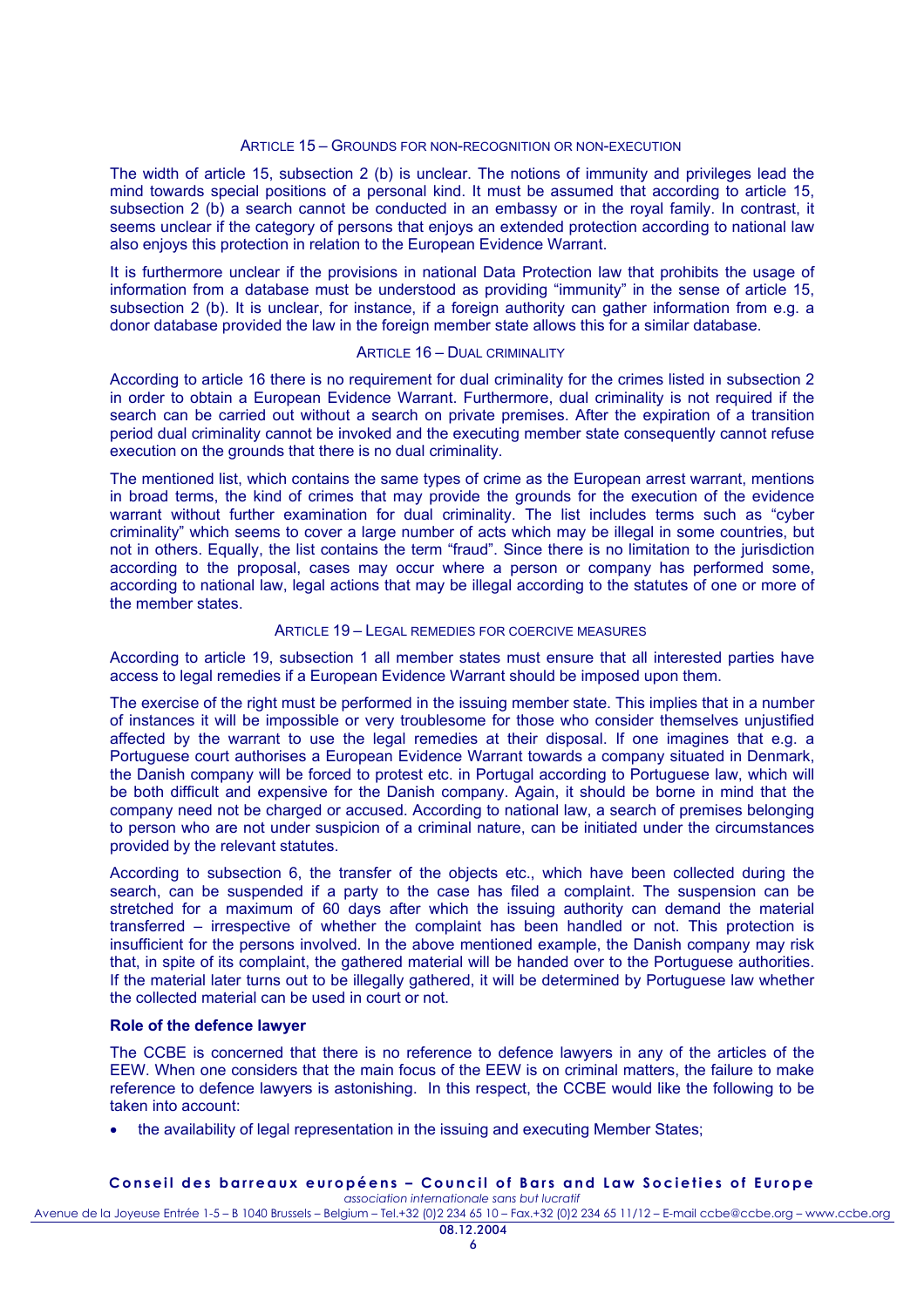# ARTICLE 15 – GROUNDS FOR NON-RECOGNITION OR NON-EXECUTION

The width of article 15, subsection 2 (b) is unclear. The notions of immunity and privileges lead the mind towards special positions of a personal kind. It must be assumed that according to article 15, subsection 2 (b) a search cannot be conducted in an embassy or in the royal family. In contrast, it seems unclear if the category of persons that enjoys an extended protection according to national law also enjoys this protection in relation to the European Evidence Warrant.

It is furthermore unclear if the provisions in national Data Protection law that prohibits the usage of information from a database must be understood as providing "immunity" in the sense of article 15, subsection 2 (b). It is unclear, for instance, if a foreign authority can gather information from e.g. a donor database provided the law in the foreign member state allows this for a similar database.

## ARTICLE 16 – DUAL CRIMINALITY

According to article 16 there is no requirement for dual criminality for the crimes listed in subsection 2 in order to obtain a European Evidence Warrant. Furthermore, dual criminality is not required if the search can be carried out without a search on private premises. After the expiration of a transition period dual criminality cannot be invoked and the executing member state consequently cannot refuse execution on the grounds that there is no dual criminality.

The mentioned list, which contains the same types of crime as the European arrest warrant, mentions in broad terms, the kind of crimes that may provide the grounds for the execution of the evidence warrant without further examination for dual criminality. The list includes terms such as "cyber criminality" which seems to cover a large number of acts which may be illegal in some countries, but not in others. Equally, the list contains the term "fraud". Since there is no limitation to the jurisdiction according to the proposal, cases may occur where a person or company has performed some, according to national law, legal actions that may be illegal according to the statutes of one or more of the member states.

#### ARTICLE 19 – LEGAL REMEDIES FOR COERCIVE MEASURES

According to article 19, subsection 1 all member states must ensure that all interested parties have access to legal remedies if a European Evidence Warrant should be imposed upon them.

The exercise of the right must be performed in the issuing member state. This implies that in a number of instances it will be impossible or very troublesome for those who consider themselves unjustified affected by the warrant to use the legal remedies at their disposal. If one imagines that e.g. a Portuguese court authorises a European Evidence Warrant towards a company situated in Denmark, the Danish company will be forced to protest etc. in Portugal according to Portuguese law, which will be both difficult and expensive for the Danish company. Again, it should be borne in mind that the company need not be charged or accused. According to national law, a search of premises belonging to person who are not under suspicion of a criminal nature, can be initiated under the circumstances provided by the relevant statutes.

According to subsection 6, the transfer of the objects etc., which have been collected during the search, can be suspended if a party to the case has filed a complaint. The suspension can be stretched for a maximum of 60 days after which the issuing authority can demand the material transferred – irrespective of whether the complaint has been handled or not. This protection is insufficient for the persons involved. In the above mentioned example, the Danish company may risk that, in spite of its complaint, the gathered material will be handed over to the Portuguese authorities. If the material later turns out to be illegally gathered, it will be determined by Portuguese law whether the collected material can be used in court or not.

## **Role of the defence lawyer**

The CCBE is concerned that there is no reference to defence lawyers in any of the articles of the EEW. When one considers that the main focus of the EEW is on criminal matters, the failure to make reference to defence lawyers is astonishing. In this respect, the CCBE would like the following to be taken into account:

the availability of legal representation in the issuing and executing Member States;

#### **Conseil des barreaux européens – Council of Bars and Law Societies of Europe**  *association internationale sans but lucratif*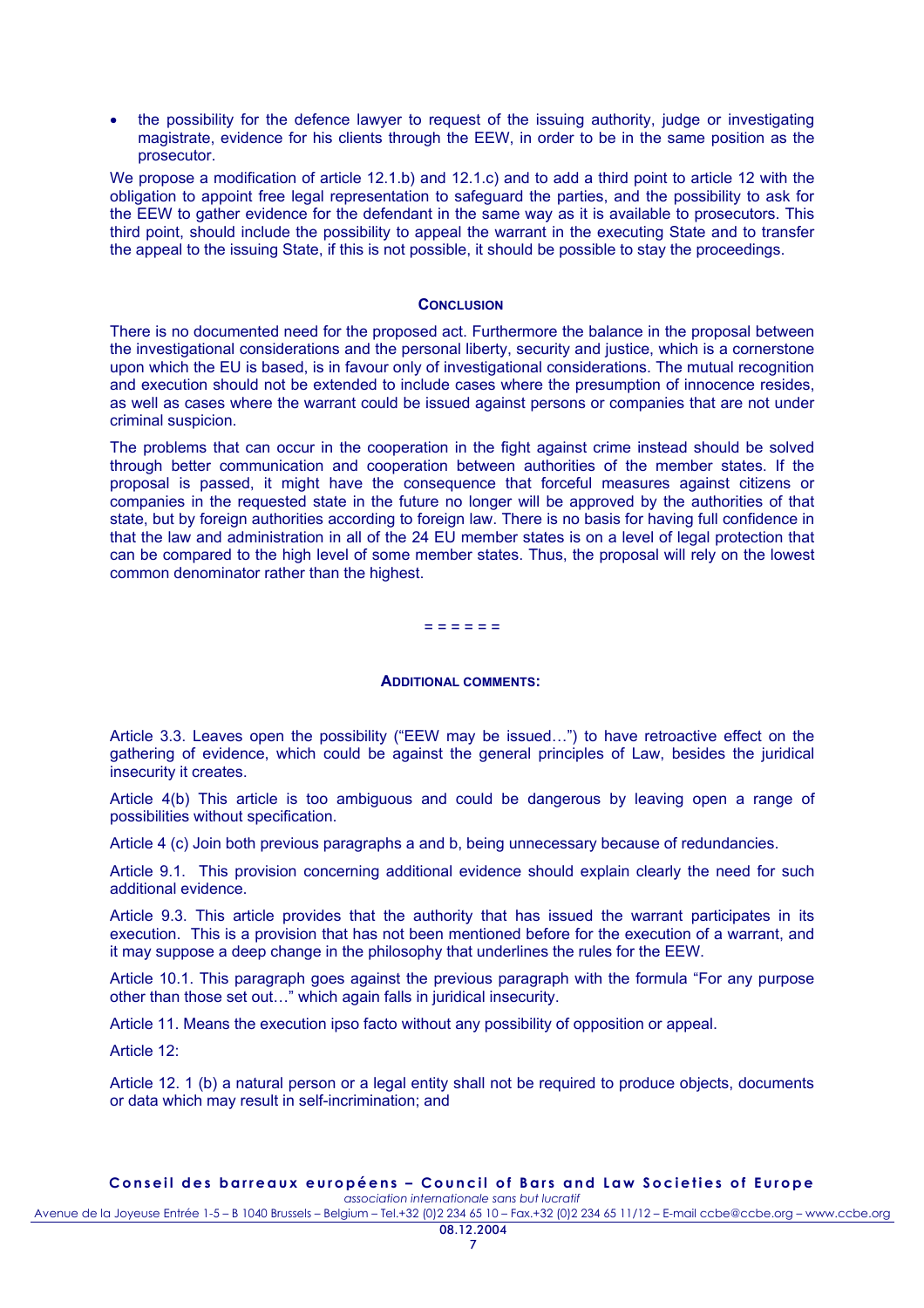• the possibility for the defence lawyer to request of the issuing authority, judge or investigating magistrate, evidence for his clients through the EEW, in order to be in the same position as the prosecutor.

We propose a modification of article 12.1.b) and 12.1.c) and to add a third point to article 12 with the obligation to appoint free legal representation to safeguard the parties, and the possibility to ask for the EEW to gather evidence for the defendant in the same way as it is available to prosecutors. This third point, should include the possibility to appeal the warrant in the executing State and to transfer the appeal to the issuing State, if this is not possible, it should be possible to stay the proceedings.

#### **CONCLUSION**

There is no documented need for the proposed act. Furthermore the balance in the proposal between the investigational considerations and the personal liberty, security and justice, which is a cornerstone upon which the EU is based, is in favour only of investigational considerations. The mutual recognition and execution should not be extended to include cases where the presumption of innocence resides, as well as cases where the warrant could be issued against persons or companies that are not under criminal suspicion.

The problems that can occur in the cooperation in the fight against crime instead should be solved through better communication and cooperation between authorities of the member states. If the proposal is passed, it might have the consequence that forceful measures against citizens or companies in the requested state in the future no longer will be approved by the authorities of that state, but by foreign authorities according to foreign law. There is no basis for having full confidence in that the law and administration in all of the 24 EU member states is on a level of legal protection that can be compared to the high level of some member states. Thus, the proposal will rely on the lowest common denominator rather than the highest.

#### = = = = = =

## **ADDITIONAL COMMENTS:**

Article 3.3. Leaves open the possibility ("EEW may be issued…") to have retroactive effect on the gathering of evidence, which could be against the general principles of Law, besides the juridical insecurity it creates.

Article 4(b) This article is too ambiguous and could be dangerous by leaving open a range of possibilities without specification.

Article 4 (c) Join both previous paragraphs a and b, being unnecessary because of redundancies.

Article 9.1. This provision concerning additional evidence should explain clearly the need for such additional evidence.

Article 9.3. This article provides that the authority that has issued the warrant participates in its execution. This is a provision that has not been mentioned before for the execution of a warrant, and it may suppose a deep change in the philosophy that underlines the rules for the EEW.

Article 10.1. This paragraph goes against the previous paragraph with the formula "For any purpose other than those set out…" which again falls in juridical insecurity.

Article 11. Means the execution ipso facto without any possibility of opposition or appeal.

Article 12:

Article 12. 1 (b) a natural person or a legal entity shall not be required to produce objects, documents or data which may result in self-incrimination; and

#### **Conseil des barreaux européens – Council of Bars and Law Societies of Europe**  *association internationale sans but lucratif*